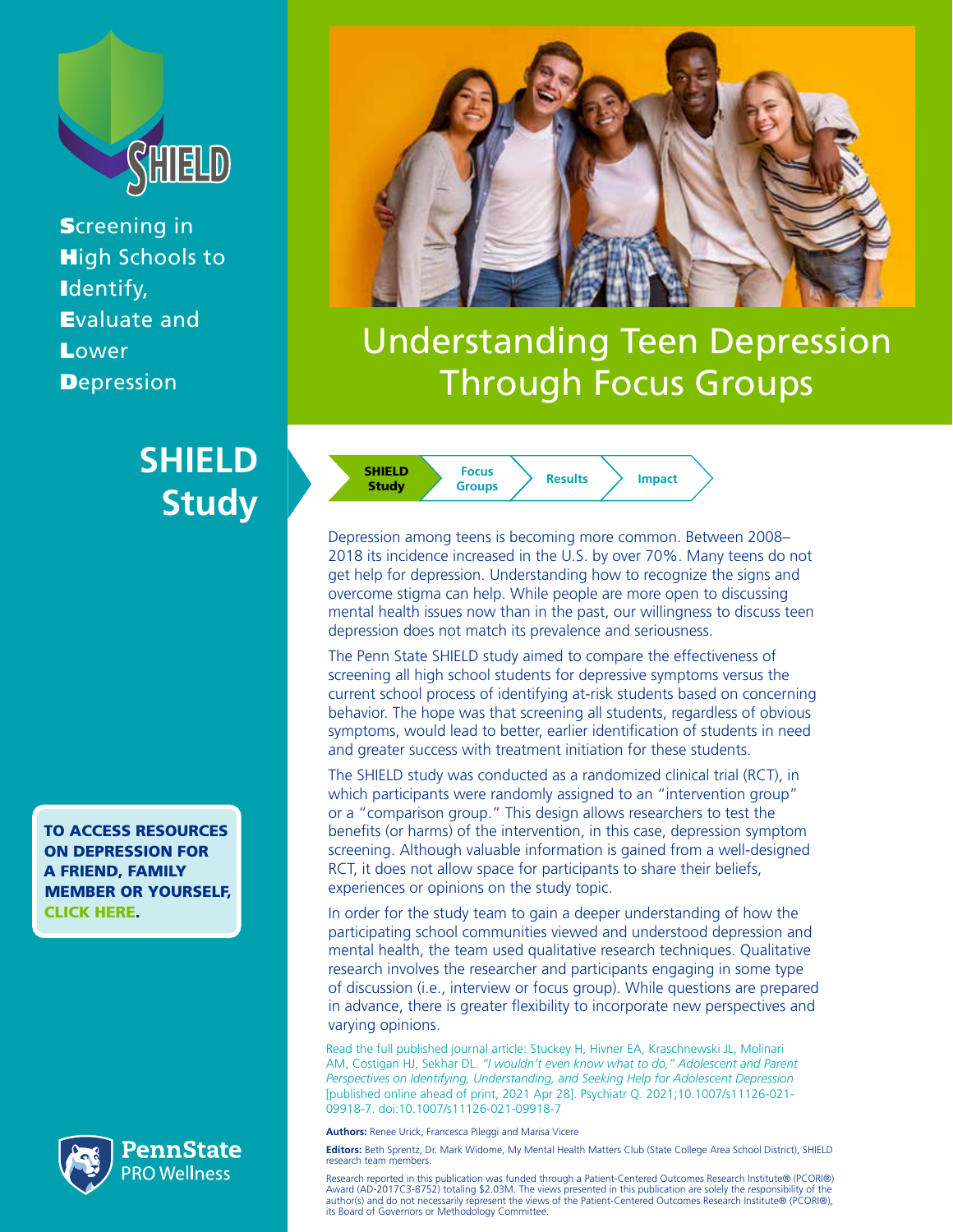

**Screening in High Schools to** Identify, Evaluate and **Lower Depression** 

### **SHIELD Study**

[TO ACCESS RESOURCES](#page-2-0)  [ON DEPRESSION FOR](#page-2-0)  [A FRIEND, FAMILY](#page-2-0)  [MEMBER OR YOURSELF,](#page-2-0)  [CLICK HERE.](#page-2-0)







# Understanding Teen Depression Through Focus Groups

SHIELD **Study Focus**

**Groups Results Impact**

Depression among teens is becoming more common. Between 2008– 2018 its incidence increased in the U.S. by over 70%. Many teens do not get help for depression. Understanding how to recognize the signs and overcome stigma can help. While people are more open to discussing mental health issues now than in the past, our willingness to discuss teen depression does not match its prevalence and seriousness.

The Penn State SHIELD study aimed to compare the effectiveness of screening all high school students for depressive symptoms versus the current school process of identifying at-risk students based on concerning behavior. The hope was that screening all students, regardless of obvious symptoms, would lead to better, earlier identification of students in need and greater success with treatment initiation for these students.

The SHIELD study was conducted as a randomized clinical trial (RCT), in which participants were randomly assigned to an "intervention group" or a "comparison group." This design allows researchers to test the benefits (or harms) of the intervention, in this case, depression symptom screening. Although valuable information is gained from a well-designed RCT, it does not allow space for participants to share their beliefs, experiences or opinions on the study topic.

In order for the study team to gain a deeper understanding of how the participating school communities viewed and understood depression and mental health, the team used qualitative research techniques. Qualitative research involves the researcher and participants engaging in some type of discussion (i.e., interview or focus group). While questions are prepared in advance, there is greater flexibility to incorporate new perspectives and varying opinions.

[Read the full published journal article: Stuckey H, Hivner EA, Kraschnewski JL, Molinari](https://www.pcori.org/research-results/2018/comparing-universal-versus-targeted-school-screenings-depression-among-teens)  AM, Costigan HJ, Sekhar DL. *["I wouldn't even know what to do," Adolescent and Parent](https://www.pcori.org/research-results/2018/comparing-universal-versus-targeted-school-screenings-depression-among-teens)  [Perspectives on Identifying, Understanding, and Seeking Help for Adolescent Depression](https://www.pcori.org/research-results/2018/comparing-universal-versus-targeted-school-screenings-depression-among-teens)* [\[published online ahead of print, 2021 Apr 28\]. Psychiatr Q. 2021;10.1007/s11126-021-](https://www.pcori.org/research-results/2018/comparing-universal-versus-targeted-school-screenings-depression-among-teens) [09918-7. doi:10.1007/s11126-021-09918-7](https://www.pcori.org/research-results/2018/comparing-universal-versus-targeted-school-screenings-depression-among-teens)

**Authors:** Renee Urick, Francesca Pileggi and Marisa Vicere

**Editors:** Beth Sprentz, Dr. Mark Widome, My Mental Health Matters Club (State College Area School District), SHIELD research team members.

Research reported in this publication was funded through a Patient-Centered Outcomes Research Institute® (PCORI®) Award (AD-2017C3-8752) totaling \$2.03M. The views presented in this publication are solely the responsibility of the<br>author(s) and do not necessarily represent the views of the Patient-Centered Outcomes Research Institute®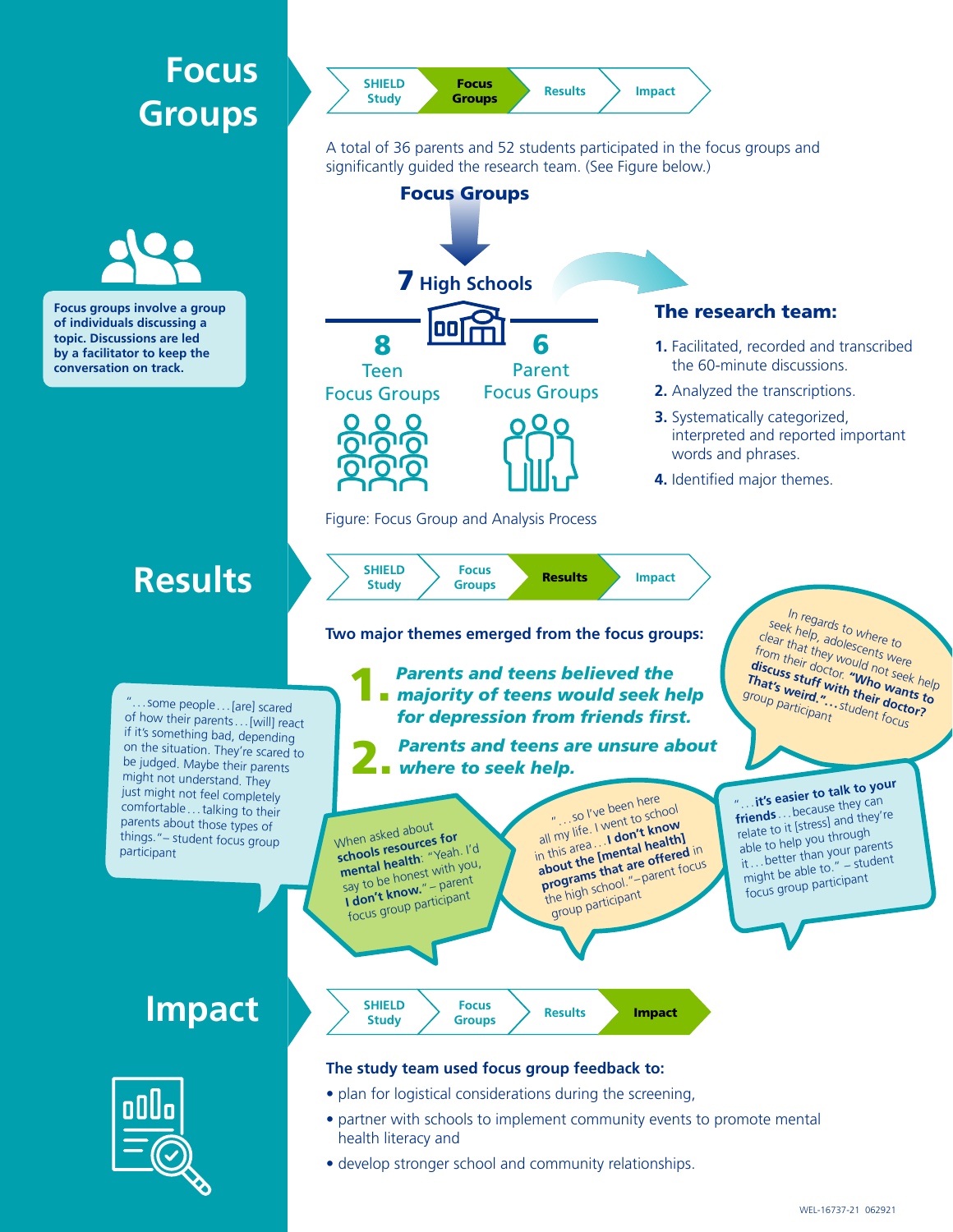## **Focus Groups**



A total of 36 parents and 52 students participated in the focus groups and significantly guided the research team. (See Figure below.)



• develop stronger school and community relationships.